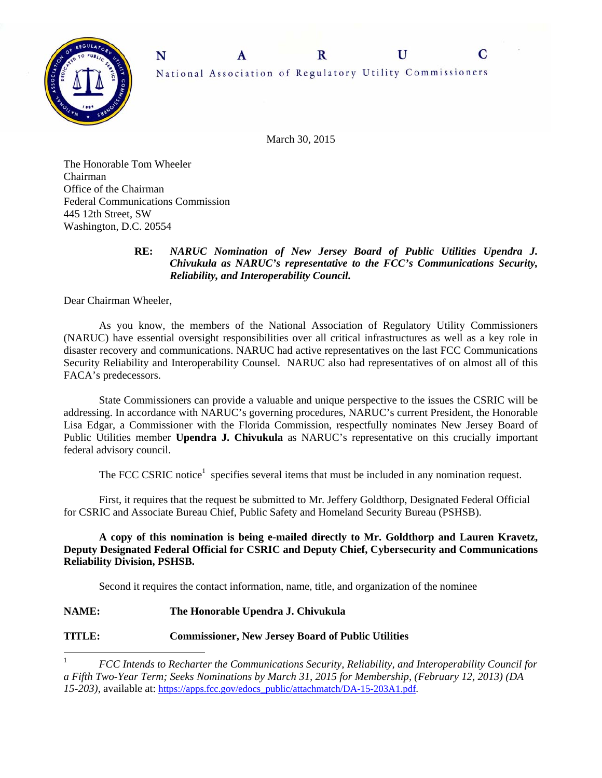

March 30, 2015

The Honorable Tom Wheeler Chairman Office of the Chairman Federal Communications Commission 445 12th Street, SW Washington, D.C. 20554

## **RE:** *NARUC Nomination of New Jersey Board of Public Utilities Upendra J. Chivukula as NARUC's representative to the FCC's Communications Security, Reliability, and Interoperability Council.*

Dear Chairman Wheeler,

 As you know, the members of the National Association of Regulatory Utility Commissioners (NARUC) have essential oversight responsibilities over all critical infrastructures as well as a key role in disaster recovery and communications. NARUC had active representatives on the last FCC Communications Security Reliability and Interoperability Counsel. NARUC also had representatives of on almost all of this FACA's predecessors.

State Commissioners can provide a valuable and unique perspective to the issues the CSRIC will be addressing. In accordance with NARUC's governing procedures, NARUC's current President, the Honorable Lisa Edgar, a Commissioner with the Florida Commission, respectfully nominates New Jersey Board of Public Utilities member **Upendra J. Chivukula** as NARUC's representative on this crucially important federal advisory council.

The FCC CSRIC notice<sup>1</sup> specifies several items that must be included in any nomination request.

 First, it requires that the request be submitted to Mr. Jeffery Goldthorp, Designated Federal Official for CSRIC and Associate Bureau Chief, Public Safety and Homeland Security Bureau (PSHSB).

 **A copy of this nomination is being e-mailed directly to Mr. Goldthorp and Lauren Kravetz, Deputy Designated Federal Official for CSRIC and Deputy Chief, Cybersecurity and Communications Reliability Division, PSHSB.**

Second it requires the contact information, name, title, and organization of the nominee

## **NAME: The Honorable Upendra J. Chivukula**

## **TITLE: Commissioner, New Jersey Board of Public Utilities**

 $\frac{1}{1}$  *FCC Intends to Recharter the Communications Security, Reliability, and Interoperability Council for a Fifth Two-Year Term; Seeks Nominations by March 31, 2015 for Membership, (February 12, 2013) (DA 15-203)*, available at: https://apps.fcc.gov/edocs\_public/attachmatch/DA-15-203A1.pdf.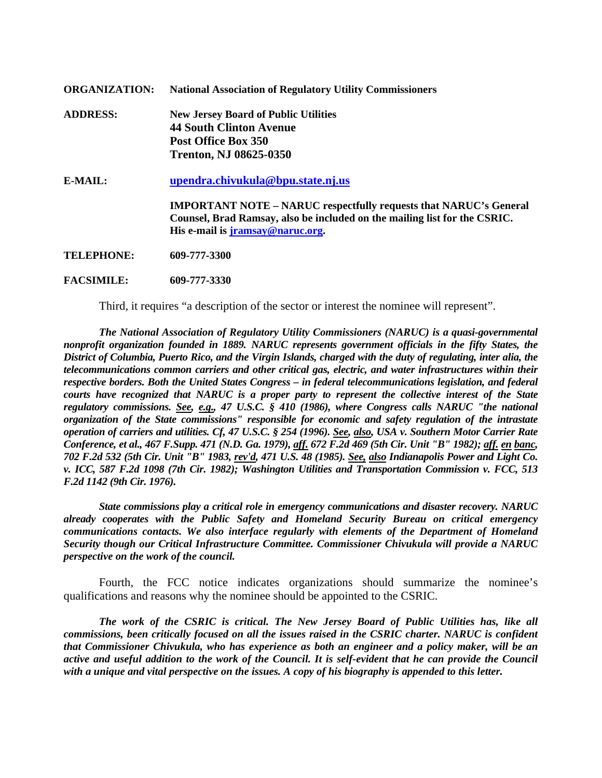| <b>ORGANIZATION:</b> | <b>National Association of Regulatory Utility Commissioners</b>               |
|----------------------|-------------------------------------------------------------------------------|
| <b>ADDRESS:</b>      | <b>New Jersey Board of Public Utilities</b><br><b>44 South Clinton Avenue</b> |
|                      | <b>Post Office Box 350</b>                                                    |
|                      | <b>Trenton, NJ 08625-0350</b>                                                 |
| $E-MAIL:$            | upendra.chivukula@bpu.state.nj.us                                             |
|                      | <b>IMPORTANT NOTE – NARUC respectfully requests that NARUC's General</b>      |
|                      | Counsel, Brad Ramsay, also be included on the mailing list for the CSRIC.     |
|                      | His e-mail is jramsay@naruc.org.                                              |
| TELEPHONE:           | 609-777-3300                                                                  |

**FACSIMILE: 609-777-3330** 

Third, it requires "a description of the sector or interest the nominee will represent".

*The National Association of Regulatory Utility Commissioners (NARUC) is a quasi-governmental nonprofit organization founded in 1889. NARUC represents government officials in the fifty States, the District of Columbia, Puerto Rico, and the Virgin Islands, charged with the duty of regulating, inter alia, the telecommunications common carriers and other critical gas, electric, and water infrastructures within their respective borders. Both the United States Congress – in federal telecommunications legislation, and federal courts have recognized that NARUC is a proper party to represent the collective interest of the State regulatory commissions. See, e.g., 47 U.S.C. § 410 (1986), where Congress calls NARUC "the national organization of the State commissions" responsible for economic and safety regulation of the intrastate operation of carriers and utilities. Cf, 47 U.S.C. § 254 (1996). See, also, USA v. Southern Motor Carrier Rate Conference, et al., 467 F.Supp. 471 (N.D. Ga. 1979), aff. 672 F.2d 469 (5th Cir. Unit "B" 1982); aff. en banc, 702 F.2d 532 (5th Cir. Unit "B" 1983, rev'd, 471 U.S. 48 (1985). See, also Indianapolis Power and Light Co. v. ICC, 587 F.2d 1098 (7th Cir. 1982); Washington Utilities and Transportation Commission v. FCC, 513 F.2d 1142 (9th Cir. 1976).* 

*State commissions play a critical role in emergency communications and disaster recovery. NARUC already cooperates with the Public Safety and Homeland Security Bureau on critical emergency communications contacts. We also interface regularly with elements of the Department of Homeland Security though our Critical Infrastructure Committee. Commissioner Chivukula will provide a NARUC perspective on the work of the council.* 

Fourth, the FCC notice indicates organizations should summarize the nominee's qualifications and reasons why the nominee should be appointed to the CSRIC.

 *The work of the CSRIC is critical. The New Jersey Board of Public Utilities has, like all commissions, been critically focused on all the issues raised in the CSRIC charter. NARUC is confident that Commissioner Chivukula, who has experience as both an engineer and a policy maker, will be an active and useful addition to the work of the Council. It is self-evident that he can provide the Council with a unique and vital perspective on the issues. A copy of his biography is appended to this letter.*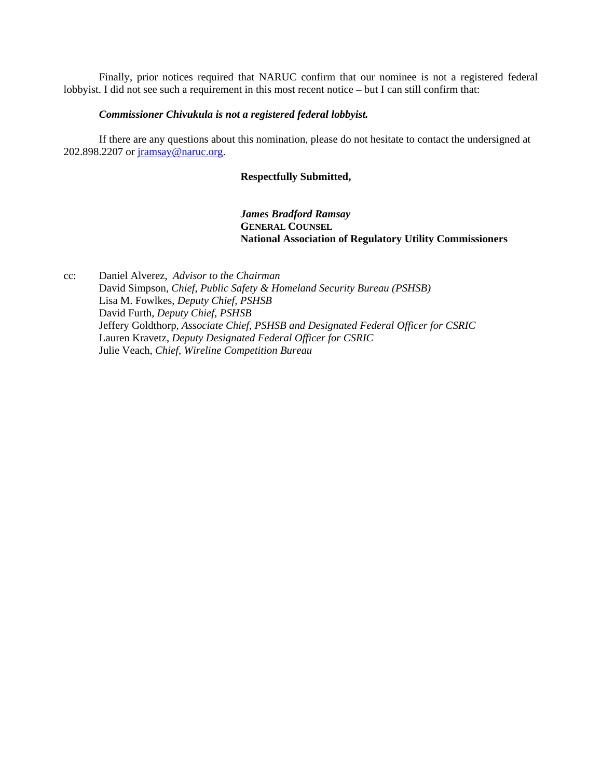Finally, prior notices required that NARUC confirm that our nominee is not a registered federal lobbyist. I did not see such a requirement in this most recent notice – but I can still confirm that:

#### *Commissioner Chivukula is not a registered federal lobbyist.*

 If there are any questions about this nomination, please do not hesitate to contact the undersigned at 202.898.2207 or jramsay@naruc.org.

#### **Respectfully Submitted,**

*James Bradford Ramsay*   **GENERAL COUNSEL National Association of Regulatory Utility Commissioners** 

cc: Daniel Alverez, *Advisor to the Chairman* David Simpson, *Chief, Public Safety & Homeland Security Bureau (PSHSB)* Lisa M. Fowlkes, *Deputy Chief, PSHSB* David Furth, *Deputy Chief, PSHSB*  Jeffery Goldthorp, *Associate Chief, PSHSB and Designated Federal Officer for CSRIC*  Lauren Kravetz, *Deputy Designated Federal Officer for CSRIC*  Julie Veach, *Chief, Wireline Competition Bureau*